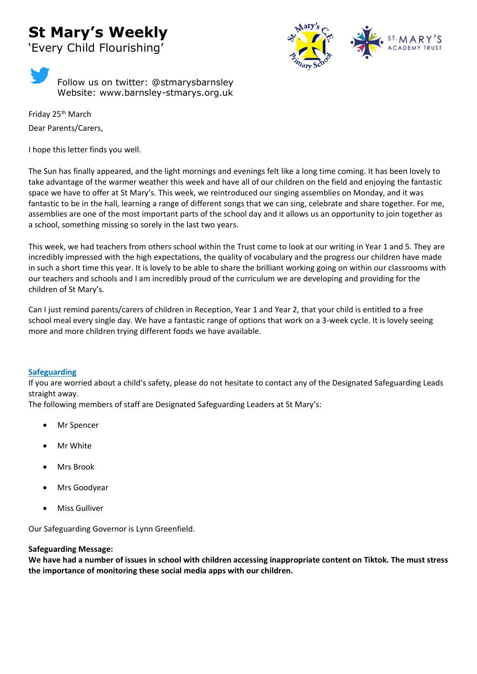# **St Mary's Weekly**



'Every Child Flourishing'



Friday 25th March Dear Parents/Carers,

I hope this letter finds you well.

The Sun has finally appeared, and the light mornings and evenings felt like a long time coming. It has been lovely to take advantage of the warmer weather this week and have all of our children on the field and enjoying the fantastic space we have to offer at St Mary's. This week, we reintroduced our singing assemblies on Monday, and it was fantastic to be in the hall, learning a range of different songs that we can sing, celebrate and share together. For me, assemblies are one of the most important parts of the school day and it allows us an opportunity to join together as a school, something missing so sorely in the last two years.

This week, we had teachers from others school within the Trust come to look at our writing in Year 1 and 5. They are incredibly impressed with the high expectations, the quality of vocabulary and the progress our children have made in such a short time this year. It is lovely to be able to share the brilliant working going on within our classrooms with our teachers and schools and I am incredibly proud of the curriculum we are developing and providing for the children of St Mary's.

Can I just remind parents/carers of children in Reception, Year 1 and Year 2, that your child is entitled to a free school meal every single day. We have a fantastic range of options that work on a 3-week cycle. It is lovely seeing more and more children trying different foods we have available.

## **Safeguarding**

If you are worried about a child's safety, please do not hesitate to contact any of the Designated Safeguarding Leads straight away.

The following members of staff are Designated Safeguarding Leaders at St Mary's:

- Mr Spencer
- **Mr White**
- Mrs Brook
- Mrs Goodyear
- Miss Gulliver

Our Safeguarding Governor is Lynn Greenfield.

## **Safeguarding Message:**

**We have had a number of issues in school with children accessing inappropriate content on Tiktok. The must stress the importance of monitoring these social media apps with our children.**